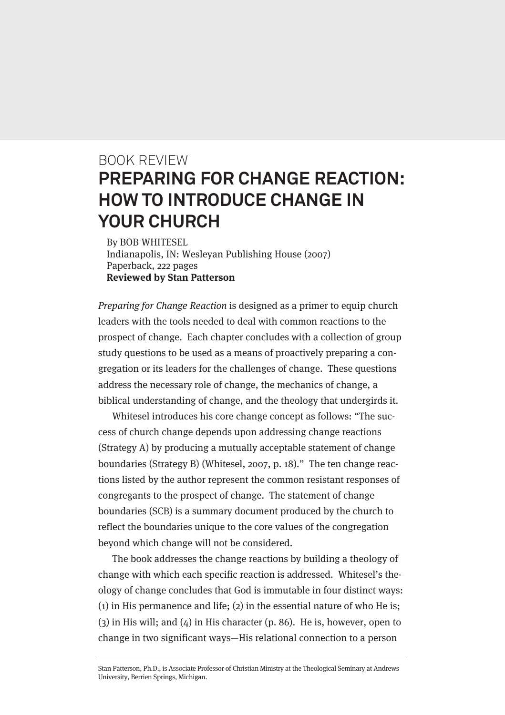## BOOK REVIEW **PREPARING FOR CHANGE REACTION: HOW TO INTRODUCE CHANGE IN YOUR CHURCH**

By BOB WHITESEL Indianapolis, IN: Wesleyan Publishing House (2007) Paperback, 222 pages **Reviewed by Stan Patterson**

Preparing for Change Reaction is designed as a primer to equip church leaders with the tools needed to deal with common reactions to the prospect of change. Each chapter concludes with a collection of group study questions to be used as a means of proactively preparing a congregation or its leaders for the challenges of change. These questions address the necessary role of change, the mechanics of change, a biblical understanding of change, and the theology that undergirds it.

Whitesel introduces his core change concept as follows: "The success of church change depends upon addressing change reactions (Strategy A) by producing a mutually acceptable statement of change boundaries (Strategy B) (Whitesel, 2007, p. 18)." The ten change reactions listed by the author represent the common resistant responses of congregants to the prospect of change. The statement of change boundaries (SCB) is a summary document produced by the church to reflect the boundaries unique to the core values of the congregation beyond which change will not be considered.

The book addresses the change reactions by building a theology of change with which each specific reaction is addressed. Whitesel's theology of change concludes that God is immutable in four distinct ways: (1) in His permanence and life; (2) in the essential nature of who He is;  $(3)$  in His will; and  $(4)$  in His character (p. 86). He is, however, open to change in two significant ways—His relational connection to a person

Stan Patterson, Ph.D., is Associate Professor of Christian Ministry at the Theological Seminary at Andrews University, Berrien Springs, Michigan.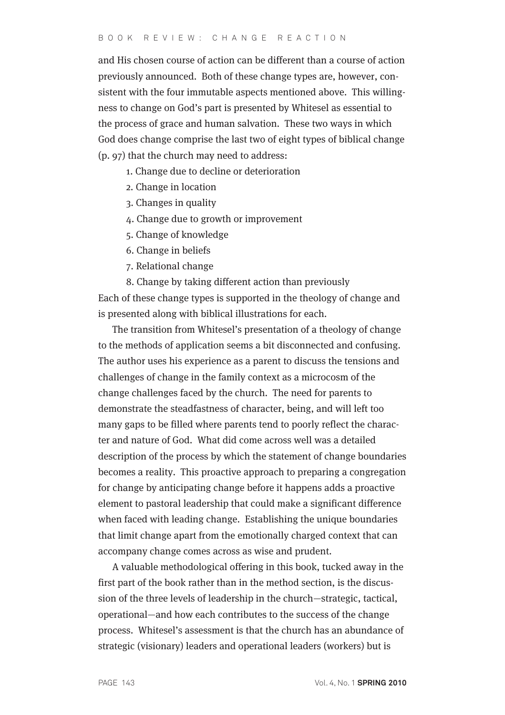and His chosen course of action can be different than a course of action previously announced. Both of these change types are, however, consistent with the four immutable aspects mentioned above. This willingness to change on God's part is presented by Whitesel as essential to the process of grace and human salvation. These two ways in which God does change comprise the last two of eight types of biblical change (p. 97) that the church may need to address:

- 1. Change due to decline or deterioration
- 2. Change in location
- 3. Changes in quality
- 4. Change due to growth or improvement
- 5. Change of knowledge
- 6. Change in beliefs
- 7. Relational change
- 8. Change by taking different action than previously

Each of these change types is supported in the theology of change and is presented along with biblical illustrations for each.

The transition from Whitesel's presentation of a theology of change to the methods of application seems a bit disconnected and confusing. The author uses his experience as a parent to discuss the tensions and challenges of change in the family context as a microcosm of the change challenges faced by the church. The need for parents to demonstrate the steadfastness of character, being, and will left too many gaps to be filled where parents tend to poorly reflect the character and nature of God. What did come across well was a detailed description of the process by which the statement of change boundaries becomes a reality. This proactive approach to preparing a congregation for change by anticipating change before it happens adds a proactive element to pastoral leadership that could make a significant difference when faced with leading change. Establishing the unique boundaries that limit change apart from the emotionally charged context that can accompany change comes across as wise and prudent.

A valuable methodological offering in this book, tucked away in the first part of the book rather than in the method section, is the discussion of the three levels of leadership in the church—strategic, tactical, operational—and how each contributes to the success of the change process. Whitesel's assessment is that the church has an abundance of strategic (visionary) leaders and operational leaders (workers) but is